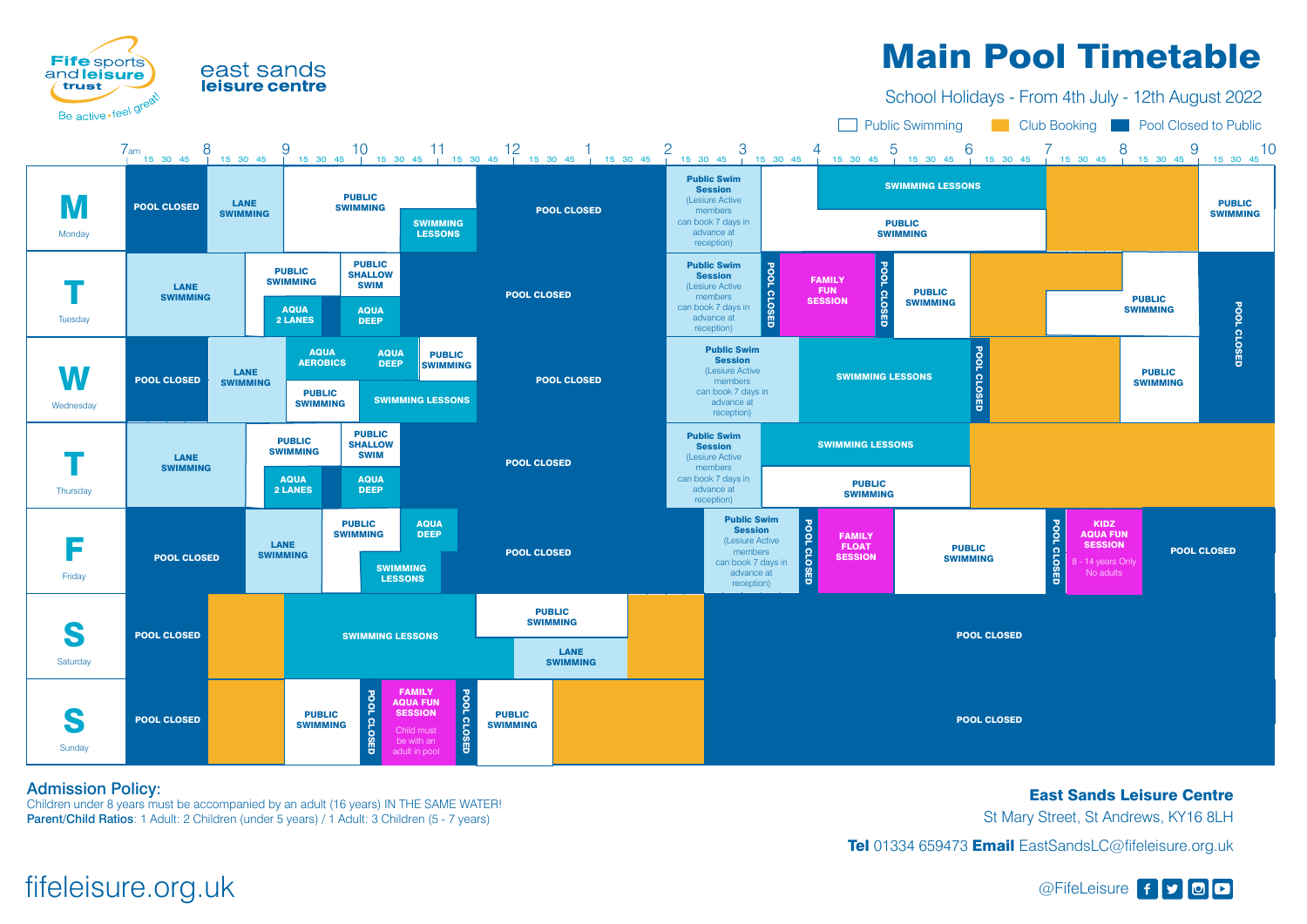

## leisure centre

Children under 8 years must be accompanied by an adult (16 years) IN THE SAME WATER! Parent/Child Ratios: 1 Adult: 2 Children (under 5 years) / 1 Adult: 3 Children (5 - 7 years)

### Admission Policy:

East Sands Leisure Centre St Mary Street, St Andrews, KY16 8LH Tel 01334 659473 Email EastSandsLC@fifeleisure.org.uk

# fifeleisure.org.uk and the settle state of state of state of state of state of state of state of state of state of state of state of state of state of state of state of state of state of state of state of state of state of